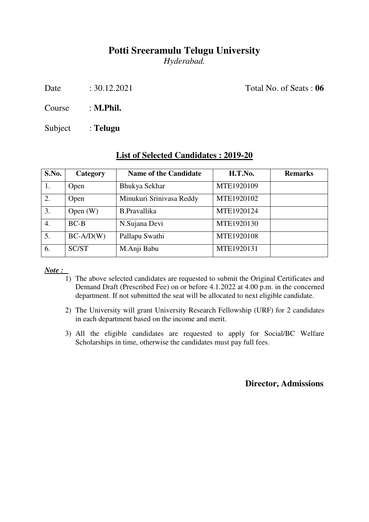# **Potti Sreeramulu Telugu University**

*Hyderabad.* 

Date : 30.12.2021 Total No. of Seats : **06** 

Course : **M.Phil.**

Subject : **Telugu**

## **List of Selected Candidates : 2019-20**

| S.No. | Category    | <b>Name of the Candidate</b> | H.T.No.    | <b>Remarks</b> |
|-------|-------------|------------------------------|------------|----------------|
| 1.    | Open        | Bhukya Sekhar                | MTE1920109 |                |
| 2.    | Open        | Minukuri Srinivasa Reddy     | MTE1920102 |                |
| 3.    | Open $(W)$  | <b>B.Pravallika</b>          | MTE1920124 |                |
| 4.    | $BC-B$      | N.Sujana Devi                | MTE1920130 |                |
| 5.    | $BC-A/D(W)$ | Pallapu Swathi               | MTE1920108 |                |
| 6.    | SC/ST       | M.Anji Babu                  | MTE1920131 |                |

*Note :* 

- 1) The above selected candidates are requested to submit the Original Certificates and Demand Draft (Prescribed Fee) on or before 4.1.2022 at 4.00 p.m. in the concerned department. If not submitted the seat will be allocated to next eligible candidate.
- 2) The University will grant University Research Fellowship (URF) for 2 candidates in each department based on the income and merit.
- 3) All the eligible candidates are requested to apply for Social/BC Welfare Scholarships in time, otherwise the candidates must pay full fees.

 **Director, Admissions**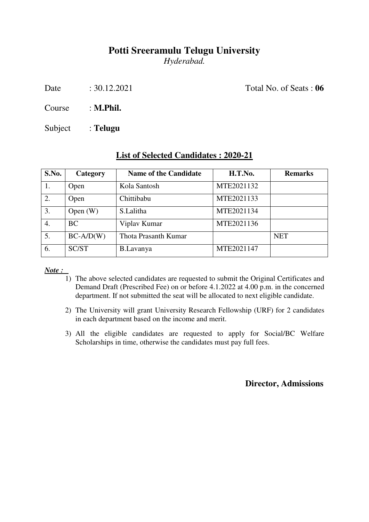# **Potti Sreeramulu Telugu University**

*Hyderabad.* 

Date : 30.12.2021 Total No. of Seats : **06** 

Course : **M.Phil.**

Subject : **Telugu**

## **List of Selected Candidates : 2020-21**

| S.No. | Category    | <b>Name of the Candidate</b> | H.T.No.    | <b>Remarks</b> |
|-------|-------------|------------------------------|------------|----------------|
|       | Open        | Kola Santosh                 | MTE2021132 |                |
| 2.    | Open        | Chittibabu                   | MTE2021133 |                |
| 3.    | Open $(W)$  | S.Lalitha                    | MTE2021134 |                |
| 4.    | <b>BC</b>   | Viplav Kumar                 | MTE2021136 |                |
| 5.    | $BC-A/D(W)$ | Thota Prasanth Kumar         |            | <b>NET</b>     |
| 6.    | SC/ST       | B.Lavanya                    | MTE2021147 |                |

*Note :* 

- 1) The above selected candidates are requested to submit the Original Certificates and Demand Draft (Prescribed Fee) on or before 4.1.2022 at 4.00 p.m. in the concerned department. If not submitted the seat will be allocated to next eligible candidate.
- 2) The University will grant University Research Fellowship (URF) for 2 candidates in each department based on the income and merit.
- 3) All the eligible candidates are requested to apply for Social/BC Welfare Scholarships in time, otherwise the candidates must pay full fees.

 **Director, Admissions**